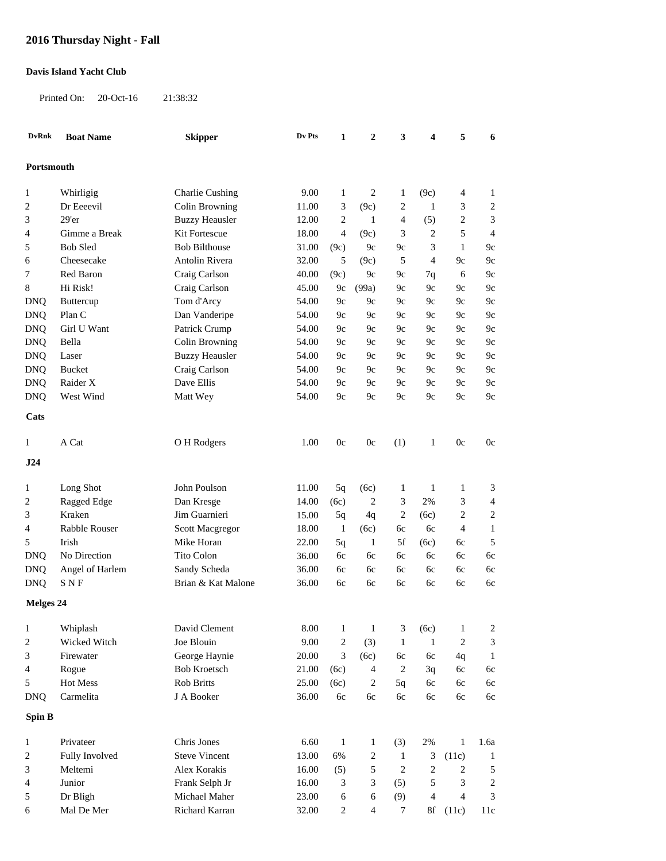## **2016 Thursday Night - Fall**

## **Davis Island Yacht Club**

Printed On: 20-Oct-16 21:38:32

| <b>DvRnk</b>   | <b>Boat Name</b> | <b>Skipper</b>         | Dv Pts | $\mathbf{1}$   | $\boldsymbol{2}$         | 3                | 4                | 5                | 6                |
|----------------|------------------|------------------------|--------|----------------|--------------------------|------------------|------------------|------------------|------------------|
| Portsmouth     |                  |                        |        |                |                          |                  |                  |                  |                  |
| 1              | Whirligig        | <b>Charlie Cushing</b> | 9.00   | $\mathbf{1}$   | $\overline{c}$           | $\mathbf{1}$     | (9c)             | 4                | 1                |
| 2              | Dr Eeeevil       | Colin Browning         | 11.00  | 3              | (9c)                     | $\overline{c}$   | $\mathbf{1}$     | 3                | $\overline{c}$   |
| 3              | 29'er            | <b>Buzzy Heausler</b>  | 12.00  | $\overline{2}$ | 1                        | $\overline{4}$   | (5)              | 2                | 3                |
| 4              | Gimme a Break    | Kit Fortescue          | 18.00  | $\overline{4}$ | (9c)                     | 3                | $\overline{2}$   | 5                | $\overline{4}$   |
| 5              | <b>Bob Sled</b>  | <b>Bob Bilthouse</b>   | 31.00  | (9c)           | 9c                       | 9c               | 3                | $\mathbf{1}$     | 9c               |
| 6              | Cheesecake       | Antolin Rivera         | 32.00  | 5              | (9c)                     | 5                | $\overline{4}$   | 9c               | 9c               |
| 7              | Red Baron        | Craig Carlson          | 40.00  | (9c)           | 9c                       | 9c               | 7q               | 6                | 9c               |
| 8              | Hi Risk!         | Craig Carlson          | 45.00  | 9c             | (99a)                    | 9c               | 9c               | 9c               | 9c               |
| <b>DNQ</b>     | Buttercup        | Tom d'Arcy             | 54.00  | 9c             | 9c                       | 9c               | 9c               | 9c               | 9c               |
| <b>DNQ</b>     | Plan C           | Dan Vanderipe          | 54.00  | 9c             | 9c                       | 9c               | 9c               | 9c               | 9c               |
| <b>DNQ</b>     | Girl U Want      | Patrick Crump          | 54.00  | 9c             | 9c                       | 9c               | 9c               | 9c               | 9c               |
| <b>DNQ</b>     | Bella            | Colin Browning         | 54.00  | 9c             | 9c                       | 9c               | 9c               | 9c               | 9c               |
| <b>DNQ</b>     | Laser            | <b>Buzzy Heausler</b>  | 54.00  | 9c             | 9c                       | 9c               | 9c               | 9c               | 9c               |
| <b>DNQ</b>     | Bucket           | Craig Carlson          | 54.00  | 9c             | 9c                       | 9c               | 9c               | 9c               | 9c               |
| <b>DNQ</b>     | Raider X         | Dave Ellis             | 54.00  | 9c             | 9c                       | 9c               | 9c               | 9c               | $9c$             |
| <b>DNQ</b>     | West Wind        | Matt Wey               | 54.00  | 9c             | 9c                       | 9c               | 9c               | 9c               | $9c$             |
| Cats           |                  |                        |        |                |                          |                  |                  |                  |                  |
| 1              | A Cat            | O H Rodgers            | 1.00   | 0c             | 0c                       | (1)              | $\mathbf{1}$     | 0c               | 0c               |
|                |                  |                        |        |                |                          |                  |                  |                  |                  |
| J24            |                  |                        |        |                |                          |                  |                  |                  |                  |
| 1              | Long Shot        | John Poulson           | 11.00  | 5q             | (6c)                     | $\mathbf{1}$     | $\mathbf{1}$     | 1                | 3                |
| $\overline{c}$ | Ragged Edge      | Dan Kresge             | 14.00  | (6c)           | 2                        | 3                | 2%               | 3                | $\overline{4}$   |
| 3              | Kraken           | Jim Guarnieri          | 15.00  | 5q             | 4q                       | $\overline{c}$   | (6c)             | 2                | $\boldsymbol{2}$ |
| 4              | Rabble Rouser    | <b>Scott Macgregor</b> | 18.00  | $\mathbf{1}$   | (6c)                     | 6c               | 6c               | 4                | $\mathbf{1}$     |
| 5              | Irish            | Mike Horan             | 22.00  | 5q             | $\mathbf{1}$             | 5f               | (6c)             | 6c               | 5                |
| <b>DNQ</b>     | No Direction     | Tito Colon             | 36.00  | 6c             | 6c                       | 6c               | 6c               | 6c               | 6c               |
| <b>DNQ</b>     | Angel of Harlem  | Sandy Scheda           | 36.00  | 6c             | 6c                       | 6c               | 6c               | 6c               | 6c               |
| <b>DNQ</b>     | <b>SNF</b>       | Brian & Kat Malone     | 36.00  | 6c             | 6c                       | 6c               | 6c               | 6c               | 6c               |
| Melges 24      |                  |                        |        |                |                          |                  |                  |                  |                  |
| $\mathbf{1}$   | Whiplash         | David Clement          | 8.00   | $\mathbf{1}$   | $\mathbf{1}$             | 3                | (6c)             | 1                | $\sqrt{2}$       |
| $\sqrt{2}$     | Wicked Witch     | Joe Blouin             | 9.00   | $\sqrt{2}$     | (3)                      | $\mathbf{1}$     | $\mathbf{1}$     | $\boldsymbol{2}$ | 3                |
| 3              | Firewater        | George Haynie          | 20.00  | $\sqrt{3}$     | (6c)                     | 6c               | 6c               | 4q               | $\mathbf{1}$     |
| $\overline{4}$ | Rogue            | <b>Bob Kroetsch</b>    | 21.00  | (6c)           | $\overline{\mathcal{L}}$ | $\overline{c}$   | 3q               | 6c               | 6c               |
| 5              | Hot Mess         | <b>Rob Britts</b>      | 25.00  | (6c)           | $\overline{c}$           | 5q               | 6c               | 6c               | 6c               |
| <b>DNQ</b>     | Carmelita        | J A Booker             | 36.00  | 6c             | 6c                       | 6c               | 6c               | 6c               | 6c               |
| Spin B         |                  |                        |        |                |                          |                  |                  |                  |                  |
|                |                  |                        |        |                |                          |                  |                  |                  |                  |
| $\mathbf{1}$   | Privateer        | Chris Jones            | 6.60   | $\mathbf{1}$   | $\mathbf{1}$             | (3)              | 2%               | 1                | 1.6a             |
| $\overline{c}$ | Fully Involved   | <b>Steve Vincent</b>   | 13.00  | 6%             | $\boldsymbol{2}$         | $\mathbf{1}$     | 3                | (11c)            | $\mathbf{1}$     |
| 3              | Meltemi          | Alex Korakis           | 16.00  | (5)            | 5                        | $\sqrt{2}$       | $\boldsymbol{2}$ | 2                | $\sqrt{5}$       |
| 4              | Junior           | Frank Selph Jr         | 16.00  | 3              | 3                        | (5)              | 5                | 3                | $\sqrt{2}$       |
| 5              | Dr Bligh         | Michael Maher          | 23.00  | 6              | 6                        | (9)              | $\overline{4}$   | $\overline{4}$   | 3                |
| 6              | Mal De Mer       | Richard Karran         | 32.00  | $\sqrt{2}$     | $\overline{4}$           | $\boldsymbol{7}$ | 8f               | (11c)            | 11c              |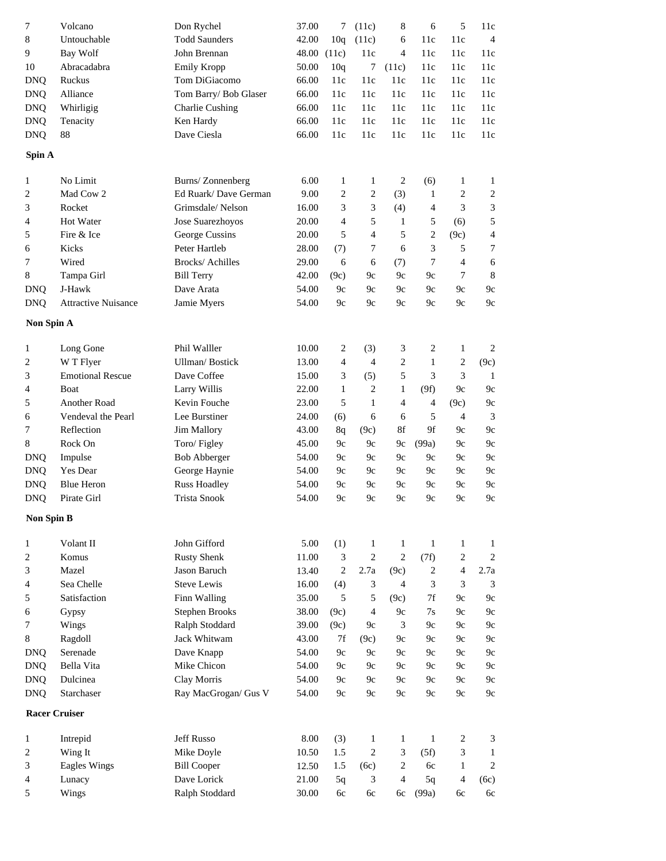| 7                 | Volcano                                   | Don Rychel            | 37.00 | 7                       | (11c)            | 8                | 6                           | 5              | 11c              |
|-------------------|-------------------------------------------|-----------------------|-------|-------------------------|------------------|------------------|-----------------------------|----------------|------------------|
| $\,8$             | Untouchable                               | <b>Todd Saunders</b>  | 42.00 | 10q                     | (11c)            | 6                | 11c                         | 11c            | $\overline{4}$   |
| 9                 | <b>Bay Wolf</b>                           | John Brennan          | 48.00 | (11c)                   | 11c              | 4                | 11c                         | 11c            | 11c              |
| 10                | Abracadabra                               | <b>Emily Kropp</b>    | 50.00 | 10q                     | 7                | (11c)            | 11c                         | 11c            | 11c              |
| <b>DNQ</b>        | Ruckus                                    | Tom DiGiacomo         | 66.00 | 11c                     | 11c              | 11c              | 11c                         | 11c            | 11c              |
| <b>DNQ</b>        | Alliance                                  | Tom Barry/ Bob Glaser | 66.00 | 11c                     | 11c              | 11c              | 11c                         | 11c            | 11c              |
| <b>DNQ</b>        | Whirligig                                 | Charlie Cushing       | 66.00 | 11c                     | 11c              | 11c              | 11c                         | 11c            | 11c              |
| <b>DNQ</b>        | Tenacity                                  | Ken Hardy             | 66.00 | 11c                     | 11c              | 11c              | 11c                         | 11c            | 11c              |
| <b>DNQ</b>        | 88                                        | Dave Ciesla           | 66.00 | 11c                     | 11c              | 11c              | 11c                         | 11c            | 11c              |
| Spin A            |                                           |                       |       |                         |                  |                  |                             |                |                  |
| 1                 | No Limit                                  | Burns/Zonnenberg      | 6.00  | 1                       | $\mathbf{1}$     | $\sqrt{2}$       | (6)                         | $\mathbf{1}$   | $\mathbf{1}$     |
| 2                 | Mad Cow 2                                 | Ed Ruark/Dave German  | 9.00  | 2                       | $\boldsymbol{2}$ | (3)              | $\mathbf{1}$                | $\overline{c}$ | $\boldsymbol{2}$ |
| 3                 | Rocket                                    | Grimsdale/Nelson      | 16.00 | 3                       | 3                | (4)              | 4                           | 3              | 3                |
| 4                 | Hot Water                                 | Jose Suarezhoyos      | 20.00 | 4                       | 5                | $\mathbf{1}$     | 5                           | (6)            | 5                |
| 5                 | Fire & Ice                                | George Cussins        | 20.00 | 5                       | $\overline{4}$   | 5                | $\overline{c}$              | (9c)           | $\overline{4}$   |
| 6                 | Kicks                                     | Peter Hartleb         | 28.00 | (7)                     | 7                | 6                | $\ensuremath{\mathfrak{Z}}$ | 5              | 7                |
| 7                 | Wired                                     | Brocks/ Achilles      | 29.00 | 6                       | 6                | (7)              | $\tau$                      | $\overline{4}$ | 6                |
| 8                 | Tampa Girl                                | <b>Bill Terry</b>     | 42.00 | (9c)                    | 9c               | 9c               | 9c                          | $\tau$         | 8                |
| <b>DNQ</b>        | $\mathbf{J}\text{-}\mathbf{H} \text{awk}$ | Dave Arata            | 54.00 | 9c                      | 9c               | 9c               | 9c                          | 9c             | 9c               |
| <b>DNQ</b>        | <b>Attractive Nuisance</b>                | Jamie Myers           | 54.00 | 9c                      | 9c               | 9c               | 9c                          | 9c             | 9c               |
|                   |                                           |                       |       |                         |                  |                  |                             |                |                  |
| Non Spin A        |                                           |                       |       |                         |                  |                  |                             |                |                  |
| 1                 | Long Gone                                 | Phil Walller          | 10.00 | $\overline{\mathbf{c}}$ | (3)              | 3                | $\overline{c}$              | $\mathbf{1}$   | $\overline{c}$   |
| 2                 | W T Flyer                                 | Ullman/Bostick        | 13.00 | 4                       | $\overline{4}$   | $\overline{c}$   | $\mathbf{1}$                | $\sqrt{2}$     | (9c)             |
| 3                 | <b>Emotional Rescue</b>                   | Dave Coffee           | 15.00 | 3                       | (5)              | 5                | 3                           | 3              | 1                |
| 4                 | Boat                                      | Larry Willis          | 22.00 | $\mathbf{1}$            | $\overline{c}$   | 1                | (9f)                        | 9c             | 9c               |
| 5                 | Another Road                              | Kevin Fouche          | 23.00 | 5                       | $\mathbf{1}$     | $\overline{4}$   | $\overline{4}$              | (9c)           | 9c               |
| 6                 | Vendeval the Pearl                        | Lee Burstiner         | 24.00 | (6)                     | 6                | 6                | 5                           | $\overline{4}$ | 3                |
| 7                 | Reflection                                | Jim Mallory           | 43.00 | 8q                      | (9c)             | 8f               | 9f                          | 9c             | 9c               |
| $\,8$             | Rock On                                   | Toro/Figley           | 45.00 | 9c                      | 9c               | 9c               | (99a)                       | 9c             | 9c               |
| <b>DNQ</b>        | Impulse                                   | <b>Bob Abberger</b>   | 54.00 | 9c                      | 9c               | 9c               | 9c                          | 9c             | 9c               |
| <b>DNQ</b>        | Yes Dear                                  | George Haynie         | 54.00 | 9c                      | 9c               | 9c               | 9c                          | 9c             | 9c               |
| <b>DNQ</b>        | <b>Blue Heron</b>                         | <b>Russ Hoadley</b>   | 54.00 | 9c                      | 9c               | 9c               | 9c                          | 9c             | 9c               |
| <b>DNQ</b>        | Pirate Girl                               | <b>Trista Snook</b>   | 54.00 | 9c                      | 9c               | 9c               | 9c                          | 9c             | 9c               |
| <b>Non Spin B</b> |                                           |                       |       |                         |                  |                  |                             |                |                  |
| 1                 | Volant II                                 | John Gifford          | 5.00  | (1)                     | 1                | $\mathbf{1}$     | $\mathbf{1}$                | $\mathbf{1}$   | $\mathbf{1}$     |
| 2                 | Komus                                     | <b>Rusty Shenk</b>    | 11.00 | 3                       | $\overline{c}$   | $\mathbf{2}$     | (7f)                        | $\overline{c}$ | $\overline{2}$   |
| 3                 | Mazel                                     | Jason Baruch          | 13.40 | $\overline{c}$          | 2.7a             | (9c)             | $\overline{c}$              | $\overline{4}$ | 2.7a             |
| 4                 | Sea Chelle                                | <b>Steve Lewis</b>    | 16.00 | (4)                     | 3                | $\overline{4}$   | 3                           | 3              | 3                |
| 5                 | Satisfaction                              | Finn Walling          | 35.00 | 5                       | 5                | (9c)             | 7f                          | 9c             | 9c               |
| 6                 | Gypsy                                     | <b>Stephen Brooks</b> | 38.00 | (9c)                    | $\overline{4}$   | 9c               | 7s                          | 9c             | 9c               |
| 7                 | Wings                                     | Ralph Stoddard        | 39.00 | (9c)                    | 9c               | 3                | 9c                          | 9c             | 9c               |
| 8                 | Ragdoll                                   | Jack Whitwam          | 43.00 | 7f                      | (9c)             | 9c               | 9c                          | 9c             | 9c               |
| <b>DNQ</b>        | Serenade                                  | Dave Knapp            | 54.00 | 9c                      | 9c               | 9c               | 9c                          | 9c             | 9c               |
| <b>DNQ</b>        | Bella Vita                                | Mike Chicon           | 54.00 | 9c                      | 9c               | 9c               | 9c                          | 9c             | 9c               |
| <b>DNQ</b>        | Dulcinea                                  | Clay Morris           | 54.00 | 9c                      | 9c               | 9c               | 9c                          | 9c             | 9c               |
| <b>DNQ</b>        | Starchaser                                | Ray MacGrogan/ Gus V  | 54.00 | 9c                      | 9c               | 9c               | 9c                          | 9c             | 9c               |
|                   | <b>Racer Cruiser</b>                      |                       |       |                         |                  |                  |                             |                |                  |
| 1                 | Intrepid                                  | Jeff Russo            | 8.00  | (3)                     | $\mathbf{1}$     | $\mathbf{1}$     | $\mathbf{1}$                | $\overline{c}$ | 3                |
| 2                 | Wing It                                   | Mike Doyle            | 10.50 | 1.5                     | $\overline{c}$   | 3                | (5f)                        | 3              | $\mathbf{1}$     |
| 3                 | <b>Eagles Wings</b>                       | <b>Bill Cooper</b>    | 12.50 | 1.5                     | (6c)             | $\boldsymbol{2}$ | 6c                          | $\mathbf{1}$   | $\mathbf{2}$     |
| 4                 | Lunacy                                    | Dave Lorick           | 21.00 | 5q                      | 3                | $\overline{4}$   | 5q                          | $\overline{4}$ | (6c)             |
| 5                 | Wings                                     | Ralph Stoddard        | 30.00 | 6c                      | 6c               | 6c               | (99a)                       | 6c             | 6c               |
|                   |                                           |                       |       |                         |                  |                  |                             |                |                  |